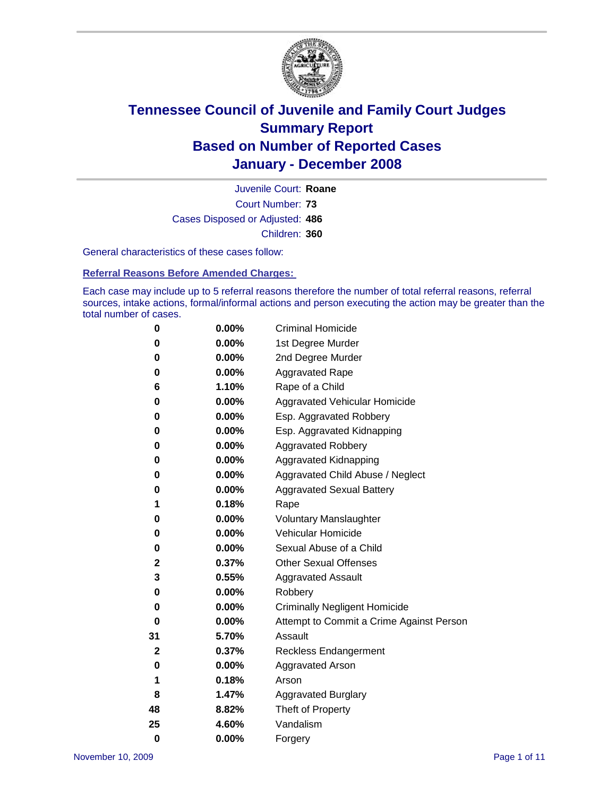

Court Number: **73** Juvenile Court: **Roane** Cases Disposed or Adjusted: **486** Children: **360**

General characteristics of these cases follow:

**Referral Reasons Before Amended Charges:** 

Each case may include up to 5 referral reasons therefore the number of total referral reasons, referral sources, intake actions, formal/informal actions and person executing the action may be greater than the total number of cases.

| 0            | 0.00%    | <b>Criminal Homicide</b>                 |
|--------------|----------|------------------------------------------|
| 0            | 0.00%    | 1st Degree Murder                        |
| 0            | 0.00%    | 2nd Degree Murder                        |
| 0            | 0.00%    | <b>Aggravated Rape</b>                   |
| 6            | 1.10%    | Rape of a Child                          |
| 0            | 0.00%    | Aggravated Vehicular Homicide            |
| 0            | 0.00%    | Esp. Aggravated Robbery                  |
| 0            | 0.00%    | Esp. Aggravated Kidnapping               |
| 0            | 0.00%    | <b>Aggravated Robbery</b>                |
| 0            | 0.00%    | Aggravated Kidnapping                    |
| 0            | 0.00%    | Aggravated Child Abuse / Neglect         |
| 0            | 0.00%    | <b>Aggravated Sexual Battery</b>         |
| 1            | 0.18%    | Rape                                     |
| 0            | 0.00%    | <b>Voluntary Manslaughter</b>            |
| 0            | 0.00%    | Vehicular Homicide                       |
| 0            | $0.00\%$ | Sexual Abuse of a Child                  |
| $\mathbf{2}$ | 0.37%    | <b>Other Sexual Offenses</b>             |
| 3            | 0.55%    | <b>Aggravated Assault</b>                |
| 0            | 0.00%    | Robbery                                  |
| 0            | $0.00\%$ | <b>Criminally Negligent Homicide</b>     |
| 0            | 0.00%    | Attempt to Commit a Crime Against Person |
| 31           | 5.70%    | Assault                                  |
| 2            | 0.37%    | <b>Reckless Endangerment</b>             |
| 0            | $0.00\%$ | <b>Aggravated Arson</b>                  |
| 1            | 0.18%    | Arson                                    |
| 8            | 1.47%    | <b>Aggravated Burglary</b>               |
| 48           | 8.82%    | Theft of Property                        |
| 25           | 4.60%    | Vandalism                                |
| $\bf{0}$     | 0.00%    | Forgery                                  |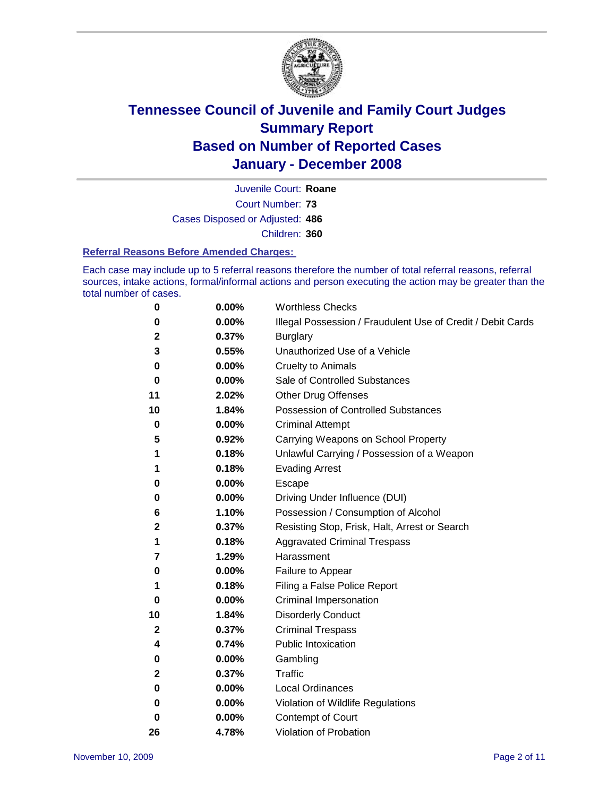

Court Number: **73** Juvenile Court: **Roane** Cases Disposed or Adjusted: **486** Children: **360**

#### **Referral Reasons Before Amended Charges:**

Each case may include up to 5 referral reasons therefore the number of total referral reasons, referral sources, intake actions, formal/informal actions and person executing the action may be greater than the total number of cases.

| 0  | 0.00% | <b>Worthless Checks</b>                                     |
|----|-------|-------------------------------------------------------------|
| 0  | 0.00% | Illegal Possession / Fraudulent Use of Credit / Debit Cards |
| 2  | 0.37% | <b>Burglary</b>                                             |
| 3  | 0.55% | Unauthorized Use of a Vehicle                               |
| 0  | 0.00% | <b>Cruelty to Animals</b>                                   |
| 0  | 0.00% | Sale of Controlled Substances                               |
| 11 | 2.02% | <b>Other Drug Offenses</b>                                  |
| 10 | 1.84% | <b>Possession of Controlled Substances</b>                  |
| 0  | 0.00% | <b>Criminal Attempt</b>                                     |
| 5  | 0.92% | Carrying Weapons on School Property                         |
| 1  | 0.18% | Unlawful Carrying / Possession of a Weapon                  |
| 1  | 0.18% | <b>Evading Arrest</b>                                       |
| 0  | 0.00% | Escape                                                      |
| 0  | 0.00% | Driving Under Influence (DUI)                               |
| 6  | 1.10% | Possession / Consumption of Alcohol                         |
| 2  | 0.37% | Resisting Stop, Frisk, Halt, Arrest or Search               |
| 1  | 0.18% | <b>Aggravated Criminal Trespass</b>                         |
| 7  | 1.29% | Harassment                                                  |
| 0  | 0.00% | Failure to Appear                                           |
| 1  | 0.18% | Filing a False Police Report                                |
| 0  | 0.00% | Criminal Impersonation                                      |
| 10 | 1.84% | <b>Disorderly Conduct</b>                                   |
| 2  | 0.37% | <b>Criminal Trespass</b>                                    |
| 4  | 0.74% | <b>Public Intoxication</b>                                  |
| 0  | 0.00% | Gambling                                                    |
| 2  | 0.37% | Traffic                                                     |
| 0  | 0.00% | Local Ordinances                                            |
| 0  | 0.00% | Violation of Wildlife Regulations                           |
| 0  | 0.00% | <b>Contempt of Court</b>                                    |
| 26 | 4.78% | Violation of Probation                                      |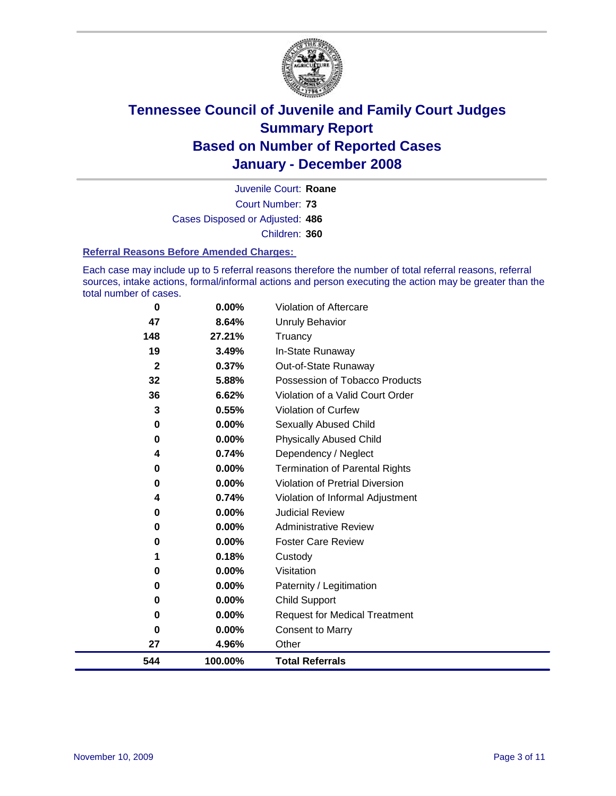

Court Number: **73** Juvenile Court: **Roane** Cases Disposed or Adjusted: **486** Children: **360**

#### **Referral Reasons Before Amended Charges:**

Each case may include up to 5 referral reasons therefore the number of total referral reasons, referral sources, intake actions, formal/informal actions and person executing the action may be greater than the total number of cases.

| 0           | 0.00%    | Violation of Aftercare                 |
|-------------|----------|----------------------------------------|
| 47          | 8.64%    | <b>Unruly Behavior</b>                 |
| 148         | 27.21%   | Truancy                                |
| 19          | 3.49%    | In-State Runaway                       |
| $\mathbf 2$ | 0.37%    | Out-of-State Runaway                   |
| 32          | 5.88%    | Possession of Tobacco Products         |
| 36          | 6.62%    | Violation of a Valid Court Order       |
| 3           | 0.55%    | Violation of Curfew                    |
| 0           | 0.00%    | Sexually Abused Child                  |
| 0           | 0.00%    | <b>Physically Abused Child</b>         |
| 4           | 0.74%    | Dependency / Neglect                   |
| 0           | $0.00\%$ | <b>Termination of Parental Rights</b>  |
| 0           | $0.00\%$ | <b>Violation of Pretrial Diversion</b> |
| 4           | 0.74%    | Violation of Informal Adjustment       |
| 0           | 0.00%    | <b>Judicial Review</b>                 |
| 0           | $0.00\%$ | <b>Administrative Review</b>           |
| 0           | $0.00\%$ | <b>Foster Care Review</b>              |
| 1           | 0.18%    | Custody                                |
| 0           | 0.00%    | Visitation                             |
| 0           | 0.00%    | Paternity / Legitimation               |
| 0           | $0.00\%$ | <b>Child Support</b>                   |
| 0           | $0.00\%$ | <b>Request for Medical Treatment</b>   |
| 0           | 0.00%    | <b>Consent to Marry</b>                |
| 27          | 4.96%    | Other                                  |
| 544         | 100.00%  | <b>Total Referrals</b>                 |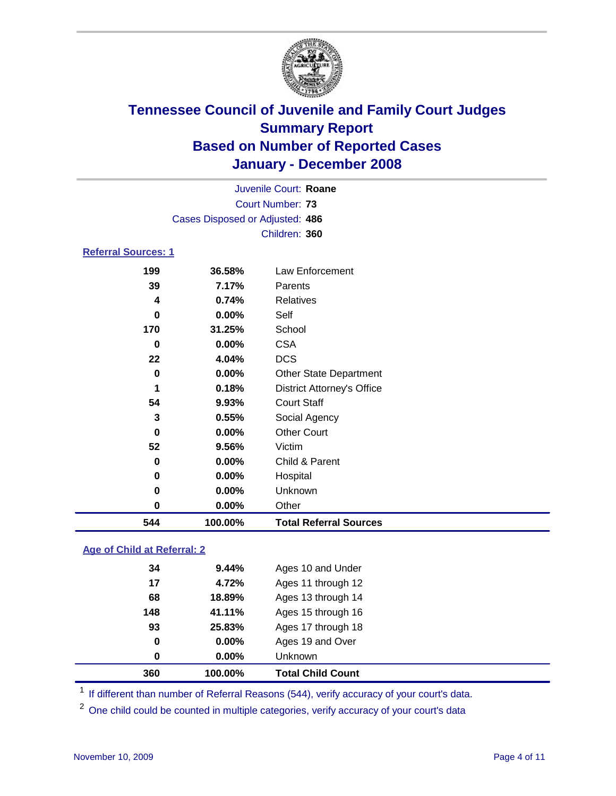

|                            | Juvenile Court: Roane           |                                   |  |  |  |  |
|----------------------------|---------------------------------|-----------------------------------|--|--|--|--|
|                            |                                 | Court Number: 73                  |  |  |  |  |
|                            | Cases Disposed or Adjusted: 486 |                                   |  |  |  |  |
|                            |                                 | Children: 360                     |  |  |  |  |
| <b>Referral Sources: 1</b> |                                 |                                   |  |  |  |  |
| 199                        | 36.58%                          | Law Enforcement                   |  |  |  |  |
| 39                         | 7.17%                           | Parents                           |  |  |  |  |
| 4                          | 0.74%                           | Relatives                         |  |  |  |  |
| 0                          | 0.00%                           | Self                              |  |  |  |  |
| 170                        | 31.25%                          | School                            |  |  |  |  |
| 0                          | 0.00%                           | <b>CSA</b>                        |  |  |  |  |
| 22                         | 4.04%                           | <b>DCS</b>                        |  |  |  |  |
| 0                          | 0.00%                           | <b>Other State Department</b>     |  |  |  |  |
| 1                          | 0.18%                           | <b>District Attorney's Office</b> |  |  |  |  |
| 54                         | 9.93%                           | <b>Court Staff</b>                |  |  |  |  |
| 3                          | 0.55%                           | Social Agency                     |  |  |  |  |
| 0                          | $0.00\%$                        | <b>Other Court</b>                |  |  |  |  |
| 52                         | 9.56%                           | Victim                            |  |  |  |  |
| 0                          | 0.00%                           | Child & Parent                    |  |  |  |  |
| 0                          | $0.00\%$                        | Hospital                          |  |  |  |  |

# **0.00%** Other **100.00% Total Referral Sources**

**0.00%** Unknown

### **Age of Child at Referral: 2**

| 360 | 100.00% | <b>Total Child Count</b> |
|-----|---------|--------------------------|
| 0   | 0.00%   | <b>Unknown</b>           |
| 0   | 0.00%   | Ages 19 and Over         |
| 93  | 25.83%  | Ages 17 through 18       |
| 148 | 41.11%  | Ages 15 through 16       |
| 68  | 18.89%  | Ages 13 through 14       |
| 17  | 4.72%   | Ages 11 through 12       |
| 34  | 9.44%   | Ages 10 and Under        |
|     |         |                          |

<sup>1</sup> If different than number of Referral Reasons (544), verify accuracy of your court's data.

<sup>2</sup> One child could be counted in multiple categories, verify accuracy of your court's data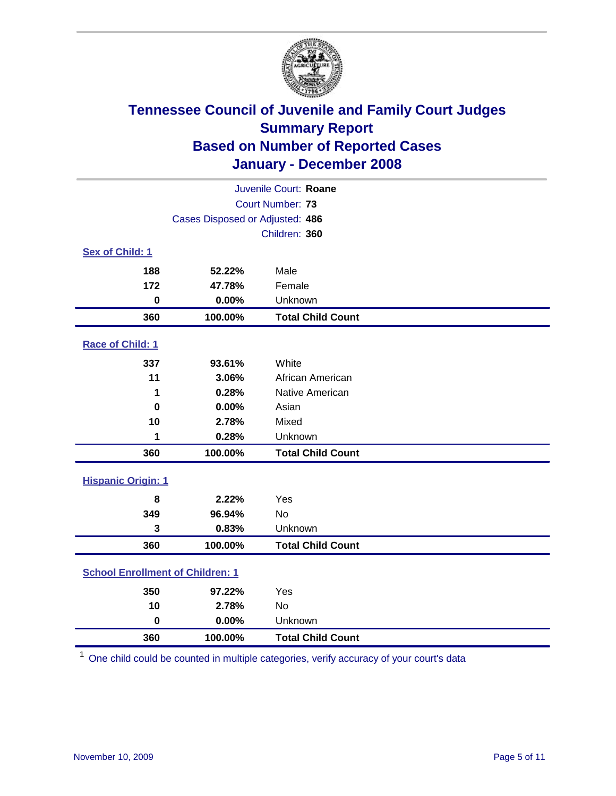

| Juvenile Court: Roane                   |                                 |                          |  |  |  |
|-----------------------------------------|---------------------------------|--------------------------|--|--|--|
| <b>Court Number: 73</b>                 |                                 |                          |  |  |  |
|                                         | Cases Disposed or Adjusted: 486 |                          |  |  |  |
|                                         | Children: 360                   |                          |  |  |  |
| Sex of Child: 1                         |                                 |                          |  |  |  |
| 188                                     | 52.22%                          | Male                     |  |  |  |
| 172                                     | 47.78%                          | Female                   |  |  |  |
| $\bf{0}$                                | 0.00%                           | Unknown                  |  |  |  |
| 360                                     | 100.00%                         | <b>Total Child Count</b> |  |  |  |
| <b>Race of Child: 1</b>                 |                                 |                          |  |  |  |
| 337                                     | 93.61%                          | White                    |  |  |  |
| 11                                      | 3.06%                           | African American         |  |  |  |
| 1                                       | 0.28%                           | Native American          |  |  |  |
| $\bf{0}$                                | 0.00%                           | Asian                    |  |  |  |
| 10                                      | 2.78%                           | Mixed                    |  |  |  |
| 1                                       | 0.28%                           | Unknown                  |  |  |  |
| 360                                     | 100.00%                         | <b>Total Child Count</b> |  |  |  |
| <b>Hispanic Origin: 1</b>               |                                 |                          |  |  |  |
| 8                                       | 2.22%                           | Yes                      |  |  |  |
| 349                                     | 96.94%                          | <b>No</b>                |  |  |  |
| 3                                       | 0.83%                           | Unknown                  |  |  |  |
| 360                                     | 100.00%                         | <b>Total Child Count</b> |  |  |  |
| <b>School Enrollment of Children: 1</b> |                                 |                          |  |  |  |
| 350                                     | 97.22%                          | Yes                      |  |  |  |
| 10                                      | 2.78%                           | No                       |  |  |  |
| $\bf{0}$                                | 0.00%                           | Unknown                  |  |  |  |
| 360                                     | 100.00%                         | <b>Total Child Count</b> |  |  |  |

One child could be counted in multiple categories, verify accuracy of your court's data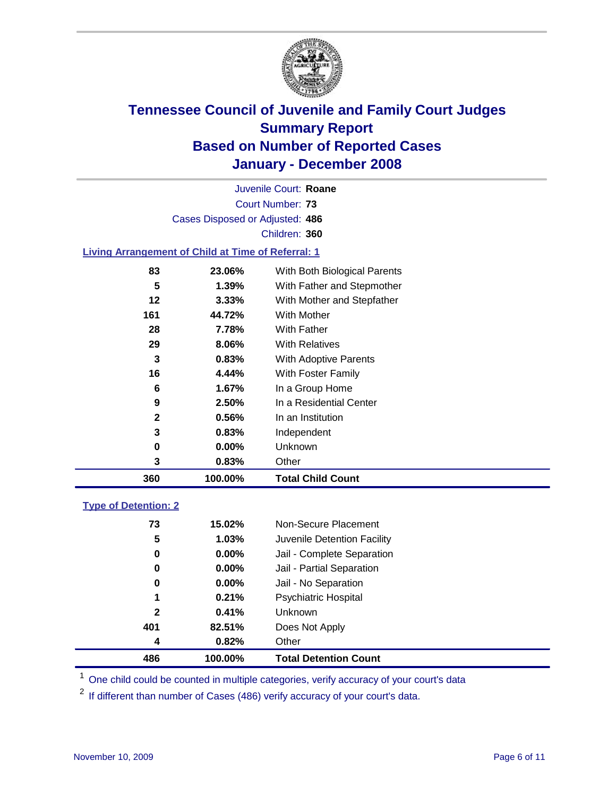

Court Number: **73** Juvenile Court: **Roane** Cases Disposed or Adjusted: **486** Children: **360**

#### **Living Arrangement of Child at Time of Referral: 1**

| 360 | 100.00%  | <b>Total Child Count</b>     |
|-----|----------|------------------------------|
| 3   | 0.83%    | Other                        |
| 0   | $0.00\%$ | Unknown                      |
| 3   | 0.83%    | Independent                  |
| 2   | 0.56%    | In an Institution            |
| 9   | 2.50%    | In a Residential Center      |
| 6   | 1.67%    | In a Group Home              |
| 16  | 4.44%    | With Foster Family           |
| 3   | 0.83%    | With Adoptive Parents        |
| 29  | 8.06%    | <b>With Relatives</b>        |
| 28  | 7.78%    | <b>With Father</b>           |
| 161 | 44.72%   | With Mother                  |
| 12  | $3.33\%$ | With Mother and Stepfather   |
| 5   | 1.39%    | With Father and Stepmother   |
| 83  | 23.06%   | With Both Biological Parents |

#### **Type of Detention: 2**

| 486          | 100.00%  | <b>Total Detention Count</b> |  |
|--------------|----------|------------------------------|--|
| 4            | 0.82%    | Other                        |  |
| 401          | 82.51%   | Does Not Apply               |  |
| $\mathbf{2}$ | 0.41%    | <b>Unknown</b>               |  |
| 1            | 0.21%    | <b>Psychiatric Hospital</b>  |  |
| 0            | $0.00\%$ | Jail - No Separation         |  |
| 0            | $0.00\%$ | Jail - Partial Separation    |  |
| 0            | $0.00\%$ | Jail - Complete Separation   |  |
| 5            | 1.03%    | Juvenile Detention Facility  |  |
| 73           | 15.02%   | Non-Secure Placement         |  |
|              |          |                              |  |

<sup>1</sup> One child could be counted in multiple categories, verify accuracy of your court's data

<sup>2</sup> If different than number of Cases (486) verify accuracy of your court's data.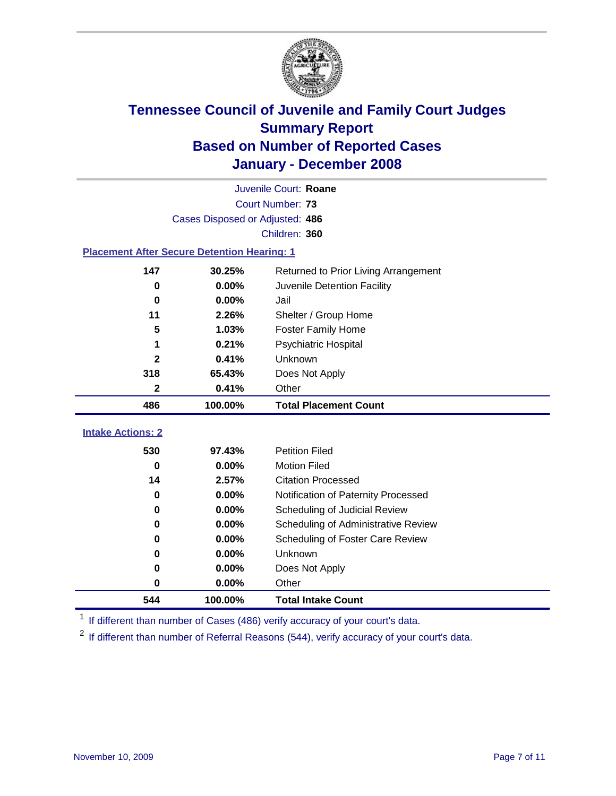

|                                                    | Juvenile Court: Roane           |                                      |  |  |  |  |
|----------------------------------------------------|---------------------------------|--------------------------------------|--|--|--|--|
|                                                    | Court Number: 73                |                                      |  |  |  |  |
|                                                    | Cases Disposed or Adjusted: 486 |                                      |  |  |  |  |
|                                                    | Children: 360                   |                                      |  |  |  |  |
| <b>Placement After Secure Detention Hearing: 1</b> |                                 |                                      |  |  |  |  |
| 147                                                | 30.25%                          | Returned to Prior Living Arrangement |  |  |  |  |
| $\bf{0}$                                           | 0.00%                           | Juvenile Detention Facility          |  |  |  |  |
| $\bf{0}$                                           | 0.00%                           | Jail                                 |  |  |  |  |
| 11                                                 | 2.26%                           | Shelter / Group Home                 |  |  |  |  |
| 5                                                  | 1.03%                           | <b>Foster Family Home</b>            |  |  |  |  |
| 1                                                  | 0.21%                           | Psychiatric Hospital                 |  |  |  |  |
| $\mathbf{2}$                                       | 0.41%                           | Unknown                              |  |  |  |  |
| 318                                                | 65.43%                          | Does Not Apply                       |  |  |  |  |
| $\mathbf 2$                                        | 0.41%                           | Other                                |  |  |  |  |
| 486                                                | 100.00%                         | <b>Total Placement Count</b>         |  |  |  |  |
| <b>Intake Actions: 2</b>                           |                                 |                                      |  |  |  |  |
|                                                    |                                 |                                      |  |  |  |  |
| 530                                                | 97.43%                          | <b>Petition Filed</b>                |  |  |  |  |
| $\bf{0}$                                           | 0.00%                           | <b>Motion Filed</b>                  |  |  |  |  |
| 14                                                 | 2.57%                           | <b>Citation Processed</b>            |  |  |  |  |
| $\bf{0}$                                           | 0.00%                           | Notification of Paternity Processed  |  |  |  |  |
| $\bf{0}$                                           | 0.00%                           | Scheduling of Judicial Review        |  |  |  |  |
| $\bf{0}$                                           | 0.00%                           | Scheduling of Administrative Review  |  |  |  |  |
| 0                                                  | 0.00%                           | Scheduling of Foster Care Review     |  |  |  |  |
| $\bf{0}$                                           | 0.00%                           | Unknown                              |  |  |  |  |
| $\bf{0}$                                           | 0.00%                           | Does Not Apply                       |  |  |  |  |
| 0                                                  | 0.00%                           | Other                                |  |  |  |  |
|                                                    |                                 |                                      |  |  |  |  |

<sup>1</sup> If different than number of Cases (486) verify accuracy of your court's data.

<sup>2</sup> If different than number of Referral Reasons (544), verify accuracy of your court's data.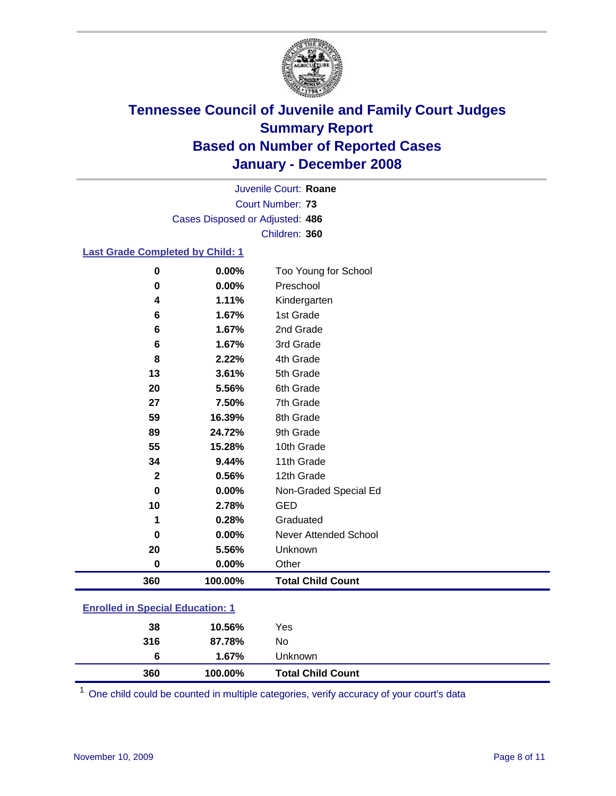

Court Number: **73** Juvenile Court: **Roane** Cases Disposed or Adjusted: **486** Children: **360**

#### **Last Grade Completed by Child: 1**

| 360          | 100.00% | <b>Total Child Count</b>     |
|--------------|---------|------------------------------|
| $\bf{0}$     | 0.00%   | Other                        |
| 20           | 5.56%   | Unknown                      |
| $\bf{0}$     | 0.00%   | <b>Never Attended School</b> |
| 1            | 0.28%   | Graduated                    |
| 10           | 2.78%   | <b>GED</b>                   |
| $\bf{0}$     | 0.00%   | Non-Graded Special Ed        |
| $\mathbf{2}$ | 0.56%   | 12th Grade                   |
| 34           | 9.44%   | 11th Grade                   |
| 55           | 15.28%  | 10th Grade                   |
| 89           | 24.72%  | 9th Grade                    |
| 59           | 16.39%  | 8th Grade                    |
| 27           | 7.50%   | 7th Grade                    |
| 20           | 5.56%   | 6th Grade                    |
| 13           | 3.61%   | 5th Grade                    |
| 8            | 2.22%   | 4th Grade                    |
| 6            | 1.67%   | 3rd Grade                    |
| 6            | 1.67%   | 2nd Grade                    |
| 6            | 1.67%   | 1st Grade                    |
| 4            | 1.11%   | Kindergarten                 |
| 0            | 0.00%   | Preschool                    |
| 0            | 0.00%   | Too Young for School         |

### **Enrolled in Special Education: 1**

<sup>1</sup> One child could be counted in multiple categories, verify accuracy of your court's data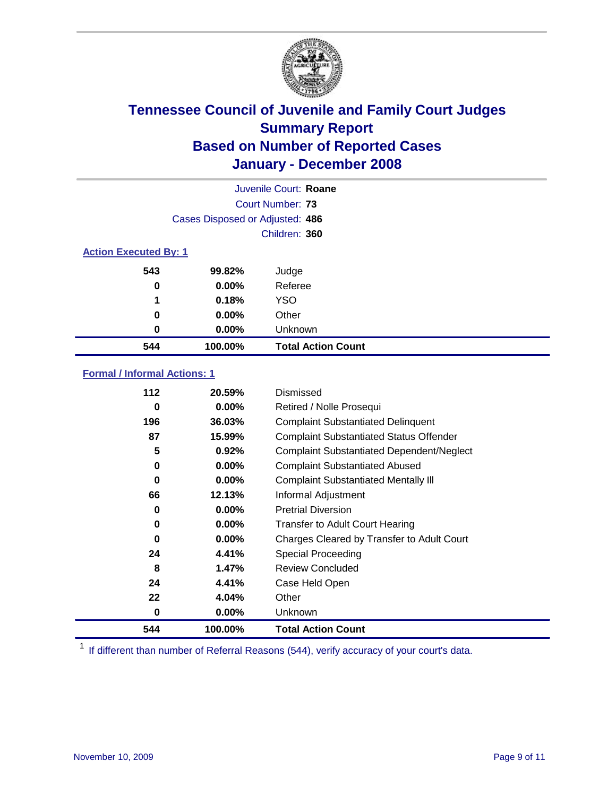

|                              | Juvenile Court: Roane           |                           |  |  |  |
|------------------------------|---------------------------------|---------------------------|--|--|--|
| Court Number: 73             |                                 |                           |  |  |  |
|                              | Cases Disposed or Adjusted: 486 |                           |  |  |  |
|                              |                                 | Children: 360             |  |  |  |
| <b>Action Executed By: 1</b> |                                 |                           |  |  |  |
| 543                          | 99.82%                          | Judge                     |  |  |  |
| 0                            | $0.00\%$                        | Referee                   |  |  |  |
| 1                            | 0.18%                           | <b>YSO</b>                |  |  |  |
| 0                            | $0.00\%$                        | Other                     |  |  |  |
| 0                            | $0.00\%$                        | Unknown                   |  |  |  |
| 544                          | 100.00%                         | <b>Total Action Count</b> |  |  |  |

### **Formal / Informal Actions: 1**

| 112 | 20.59%   | Dismissed                                        |
|-----|----------|--------------------------------------------------|
| 0   | 0.00%    | Retired / Nolle Prosequi                         |
| 196 | 36.03%   | <b>Complaint Substantiated Delinquent</b>        |
| 87  | 15.99%   | <b>Complaint Substantiated Status Offender</b>   |
| 5   | 0.92%    | <b>Complaint Substantiated Dependent/Neglect</b> |
| 0   | 0.00%    | <b>Complaint Substantiated Abused</b>            |
| 0   | 0.00%    | <b>Complaint Substantiated Mentally III</b>      |
| 66  | 12.13%   | Informal Adjustment                              |
| 0   | $0.00\%$ | <b>Pretrial Diversion</b>                        |
| 0   | 0.00%    | <b>Transfer to Adult Court Hearing</b>           |
| 0   | $0.00\%$ | Charges Cleared by Transfer to Adult Court       |
| 24  | 4.41%    | Special Proceeding                               |
| 8   | 1.47%    | <b>Review Concluded</b>                          |
| 24  | 4.41%    | Case Held Open                                   |
| 22  | 4.04%    | Other                                            |
| 0   | 0.00%    | <b>Unknown</b>                                   |
| 544 | 100.00%  | <b>Total Action Count</b>                        |

<sup>1</sup> If different than number of Referral Reasons (544), verify accuracy of your court's data.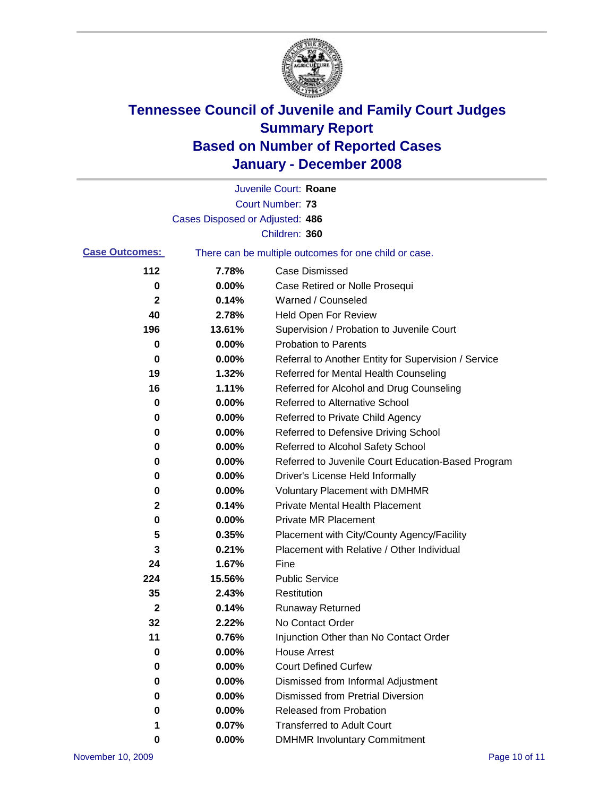

|                       |                                 | Juvenile Court: Roane                                 |
|-----------------------|---------------------------------|-------------------------------------------------------|
|                       |                                 | <b>Court Number: 73</b>                               |
|                       | Cases Disposed or Adjusted: 486 |                                                       |
|                       |                                 | Children: 360                                         |
| <b>Case Outcomes:</b> |                                 | There can be multiple outcomes for one child or case. |
| 112                   | 7.78%                           | <b>Case Dismissed</b>                                 |
| 0                     | 0.00%                           | Case Retired or Nolle Prosequi                        |
| 2                     | 0.14%                           | Warned / Counseled                                    |
| 40                    | 2.78%                           | Held Open For Review                                  |
| 196                   | 13.61%                          | Supervision / Probation to Juvenile Court             |
| 0                     | 0.00%                           | <b>Probation to Parents</b>                           |
| 0                     | 0.00%                           | Referral to Another Entity for Supervision / Service  |
| 19                    | 1.32%                           | Referred for Mental Health Counseling                 |
| 16                    | 1.11%                           | Referred for Alcohol and Drug Counseling              |
| 0                     | 0.00%                           | <b>Referred to Alternative School</b>                 |
| 0                     | 0.00%                           | Referred to Private Child Agency                      |
| 0                     | 0.00%                           | Referred to Defensive Driving School                  |
| 0                     | 0.00%                           | Referred to Alcohol Safety School                     |
| 0                     | 0.00%                           | Referred to Juvenile Court Education-Based Program    |
| 0                     | 0.00%                           | Driver's License Held Informally                      |
| 0                     | 0.00%                           | <b>Voluntary Placement with DMHMR</b>                 |
| 2                     | 0.14%                           | <b>Private Mental Health Placement</b>                |
| $\bf{0}$              | 0.00%                           | <b>Private MR Placement</b>                           |
| 5                     | 0.35%                           | Placement with City/County Agency/Facility            |
| 3                     | 0.21%                           | Placement with Relative / Other Individual            |
| 24                    | 1.67%                           | Fine                                                  |
| 224                   | 15.56%                          | <b>Public Service</b>                                 |
| 35                    | 2.43%                           | Restitution                                           |
| $\mathbf{2}$          | 0.14%                           | <b>Runaway Returned</b>                               |
| 32                    | 2.22%                           | No Contact Order                                      |
| 11                    | 0.76%                           | Injunction Other than No Contact Order                |
| 0                     | 0.00%                           | <b>House Arrest</b>                                   |
| 0                     | 0.00%                           | <b>Court Defined Curfew</b>                           |
| 0                     | 0.00%                           | Dismissed from Informal Adjustment                    |
| 0                     | 0.00%                           | <b>Dismissed from Pretrial Diversion</b>              |
| 0                     | 0.00%                           | Released from Probation                               |
| 1                     | 0.07%                           | <b>Transferred to Adult Court</b>                     |
| 0                     | 0.00%                           | <b>DMHMR Involuntary Commitment</b>                   |